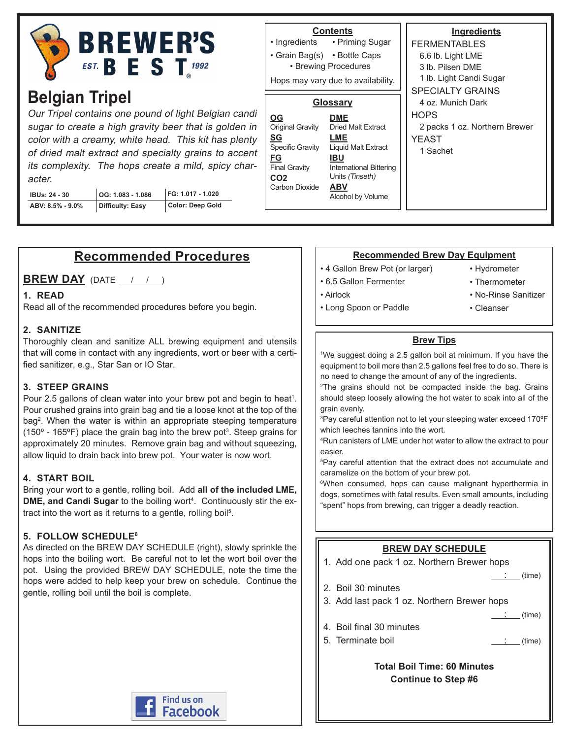

# **Belgian Tripel**

Our Tripel contains one pound of light Belgian candi sugar to create a high gravity beer that is golden in color with a creamy, white head. This kit has plenty of dried malt extract and specialty grains to accent its complexity. The hops create a mild, spicy character.

| <b>IBUs: 24 - 30</b> | $\vert$ OG: 1.083 - 1.086 | FG: 1.017 - 1.020 |
|----------------------|---------------------------|-------------------|
| ABV: 8.5% - 9.0%     | Difficulty: Easy          | Color: Deep Gold  |

## **Contents**

• Priming Sugar • Grain Bag(s) • Bottle Caps • Ingredients

• Brewing Procedures

Hops may vary due to availability.

#### **Glossary**

| <b>International Bittering</b> |
|--------------------------------|
|                                |
|                                |
|                                |
|                                |

**Ingredients** FERMENTABLES 6.6 lb. Light LME 3 lb. Pilsen DME 1 lb. Light Candi Sugar SPECIALTY GRAINS 4 oz. Munich Dark **HOPS** 2 packs 1 oz. Northern Brewer YEAST 1 Sachet

## **Recommended Procedures**

**BREW DAY** (DATE / / )

#### **1. READ**

Read all of the recommended procedures before you begin.

#### **2. SANITIZE**

Thoroughly clean and sanitize ALL brewing equipment and utensils that will come in contact with any ingredients, wort or beer with a certified sanitizer, e.g., Star San or IO Star.

#### **3. STEEP GRAINS**

Pour 2.5 gallons of clean water into your brew pot and begin to heat<sup>1</sup>. Pour crushed grains into grain bag and tie a loose knot at the top of the bag2 . When the water is within an appropriate steeping temperature (150 $^{\circ}$  - 165 $^{\circ}$ F) place the grain bag into the brew pot<sup>3</sup>. Steep grains for approximately 20 minutes. Remove grain bag and without squeezing, allow liquid to drain back into brew pot. Your water is now wort.

#### **4. START BOIL**

Bring your wort to a gentle, rolling boil. Add **all of the included LME, DME, and Candi Sugar** to the boiling wort<sup>4</sup>. Continuously stir the extract into the wort as it returns to a gentle, rolling boil<sup>5</sup>.

#### **5. FOLLOW SCHEDULE6**

As directed on the BREW DAY SCHEDULE (right), slowly sprinkle the hops into the boiling wort. Be careful not to let the wort boil over the pot. Using the provided BREW DAY SCHEDULE, note the time the hops were added to help keep your brew on schedule. Continue the gentle, rolling boil until the boil is complete.



#### **Recommended Brew Day Equipment**

- 4 Gallon Brew Pot (or larger)
- 6.5 Gallon Fermenter

• Long Spoon or Paddle

• Airlock

- Hydrometer
- Thermometer
- No-Rinse Sanitizer
- Cleanser

#### **Brew Tips**

1 We suggest doing a 2.5 gallon boil at minimum. If you have the equipment to boil more than 2.5 gallons feel free to do so. There is no need to change the amount of any of the ingredients.

<sup>2</sup>The grains should not be compacted inside the bag. Grains should steep loosely allowing the hot water to soak into all of the grain evenly.

3 Pay careful attention not to let your steeping water exceed 170ºF which leeches tannins into the wort.

4 Run canisters of LME under hot water to allow the extract to pour easier.

5 Pay careful attention that the extract does not accumulate and caramelize on the bottom of your brew pot.

6 When consumed, hops can cause malignant hyperthermia in dogs, sometimes with fatal results. Even small amounts, including "spent" hops from brewing, can trigger a deadly reaction.